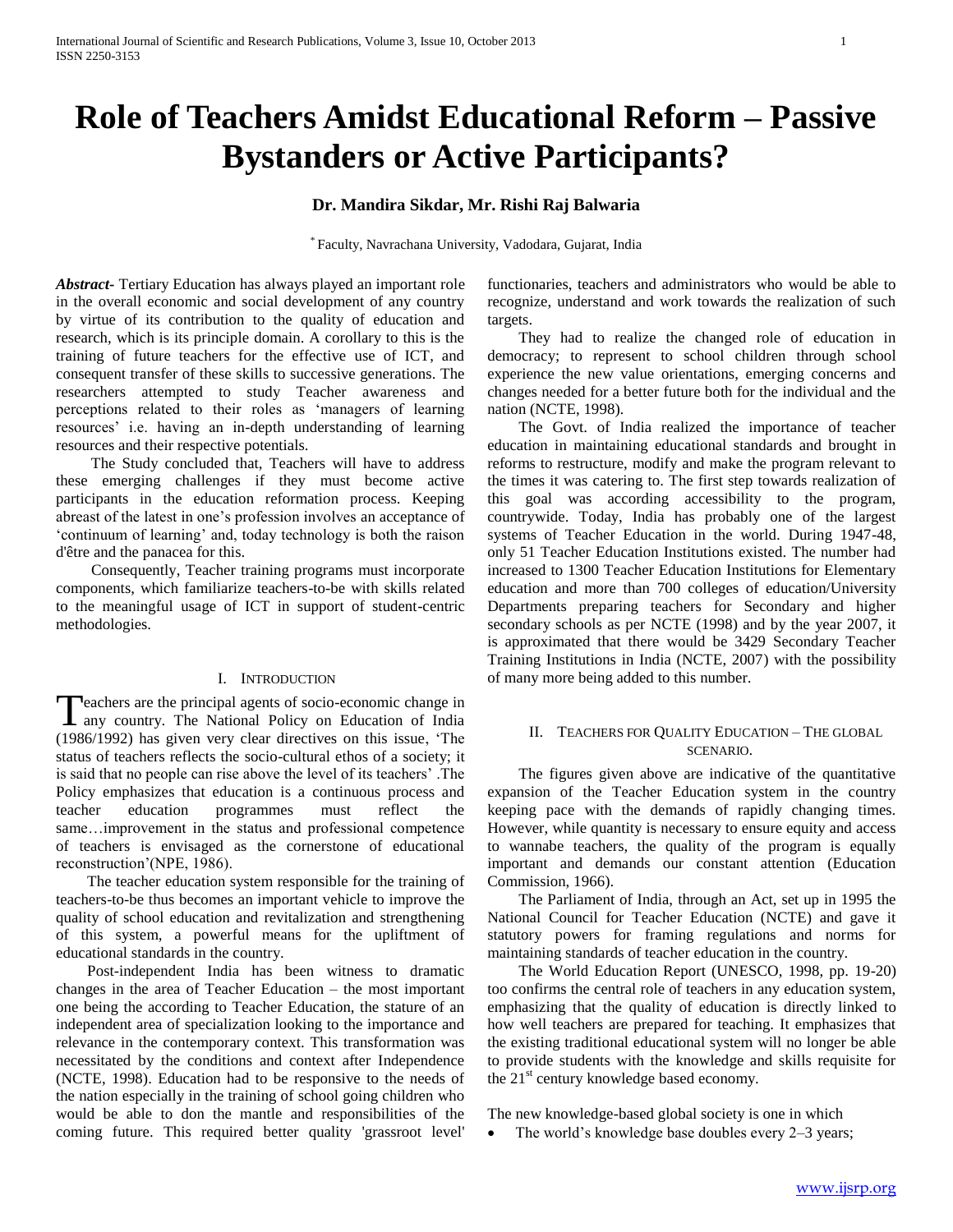# **Role of Teachers Amidst Educational Reform – Passive Bystanders or Active Participants?**

## **Dr. Mandira Sikdar, Mr. Rishi Raj Balwaria**

\* Faculty, Navrachana University, Vadodara, Gujarat, India

*Abstract***-** Tertiary Education has always played an important role in the overall economic and social development of any country by virtue of its contribution to the quality of education and research, which is its principle domain. A corollary to this is the training of future teachers for the effective use of ICT, and consequent transfer of these skills to successive generations. The researchers attempted to study Teacher awareness and perceptions related to their roles as 'managers of learning resources' i.e. having an in-depth understanding of learning resources and their respective potentials.

 The Study concluded that, Teachers will have to address these emerging challenges if they must become active participants in the education reformation process. Keeping abreast of the latest in one's profession involves an acceptance of 'continuum of learning' and, today technology is both the raison d'être and the panacea for this.

 Consequently, Teacher training programs must incorporate components, which familiarize teachers-to-be with skills related to the meaningful usage of ICT in support of student-centric methodologies.

## I. INTRODUCTION

**Peachers are the principal agents of socio-economic change in** Teachers are the principal agents of socio-economic change in<br>
any country. The National Policy on Education of India (1986/1992) has given very clear directives on this issue, 'The status of teachers reflects the socio-cultural ethos of a society; it is said that no people can rise above the level of its teachers' .The Policy emphasizes that education is a continuous process and teacher education programmes must reflect the same…improvement in the status and professional competence of teachers is envisaged as the cornerstone of educational reconstruction'(NPE, 1986).

 The teacher education system responsible for the training of teachers-to-be thus becomes an important vehicle to improve the quality of school education and revitalization and strengthening of this system, a powerful means for the upliftment of educational standards in the country.

 Post-independent India has been witness to dramatic changes in the area of Teacher Education – the most important one being the according to Teacher Education, the stature of an independent area of specialization looking to the importance and relevance in the contemporary context. This transformation was necessitated by the conditions and context after Independence (NCTE, 1998). Education had to be responsive to the needs of the nation especially in the training of school going children who would be able to don the mantle and responsibilities of the coming future. This required better quality 'grassroot level'

functionaries, teachers and administrators who would be able to recognize, understand and work towards the realization of such targets.

 They had to realize the changed role of education in democracy; to represent to school children through school experience the new value orientations, emerging concerns and changes needed for a better future both for the individual and the nation (NCTE, 1998).

 The Govt. of India realized the importance of teacher education in maintaining educational standards and brought in reforms to restructure, modify and make the program relevant to the times it was catering to. The first step towards realization of this goal was according accessibility to the program, countrywide. Today, India has probably one of the largest systems of Teacher Education in the world. During 1947-48, only 51 Teacher Education Institutions existed. The number had increased to 1300 Teacher Education Institutions for Elementary education and more than 700 colleges of education/University Departments preparing teachers for Secondary and higher secondary schools as per NCTE (1998) and by the year 2007, it is approximated that there would be 3429 Secondary Teacher Training Institutions in India (NCTE, 2007) with the possibility of many more being added to this number.

## II. TEACHERS FOR QUALITY EDUCATION – THE GLOBAL SCENARIO.

 The figures given above are indicative of the quantitative expansion of the Teacher Education system in the country keeping pace with the demands of rapidly changing times. However, while quantity is necessary to ensure equity and access to wannabe teachers, the quality of the program is equally important and demands our constant attention (Education Commission, 1966).

 The Parliament of India, through an Act, set up in 1995 the National Council for Teacher Education (NCTE) and gave it statutory powers for framing regulations and norms for maintaining standards of teacher education in the country.

 The World Education Report (UNESCO, 1998, pp. 19-20) too confirms the central role of teachers in any education system, emphasizing that the quality of education is directly linked to how well teachers are prepared for teaching. It emphasizes that the existing traditional educational system will no longer be able to provide students with the knowledge and skills requisite for the 21<sup>st</sup> century knowledge based economy.

The new knowledge-based global society is one in which

• The world's knowledge base doubles every 2–3 years;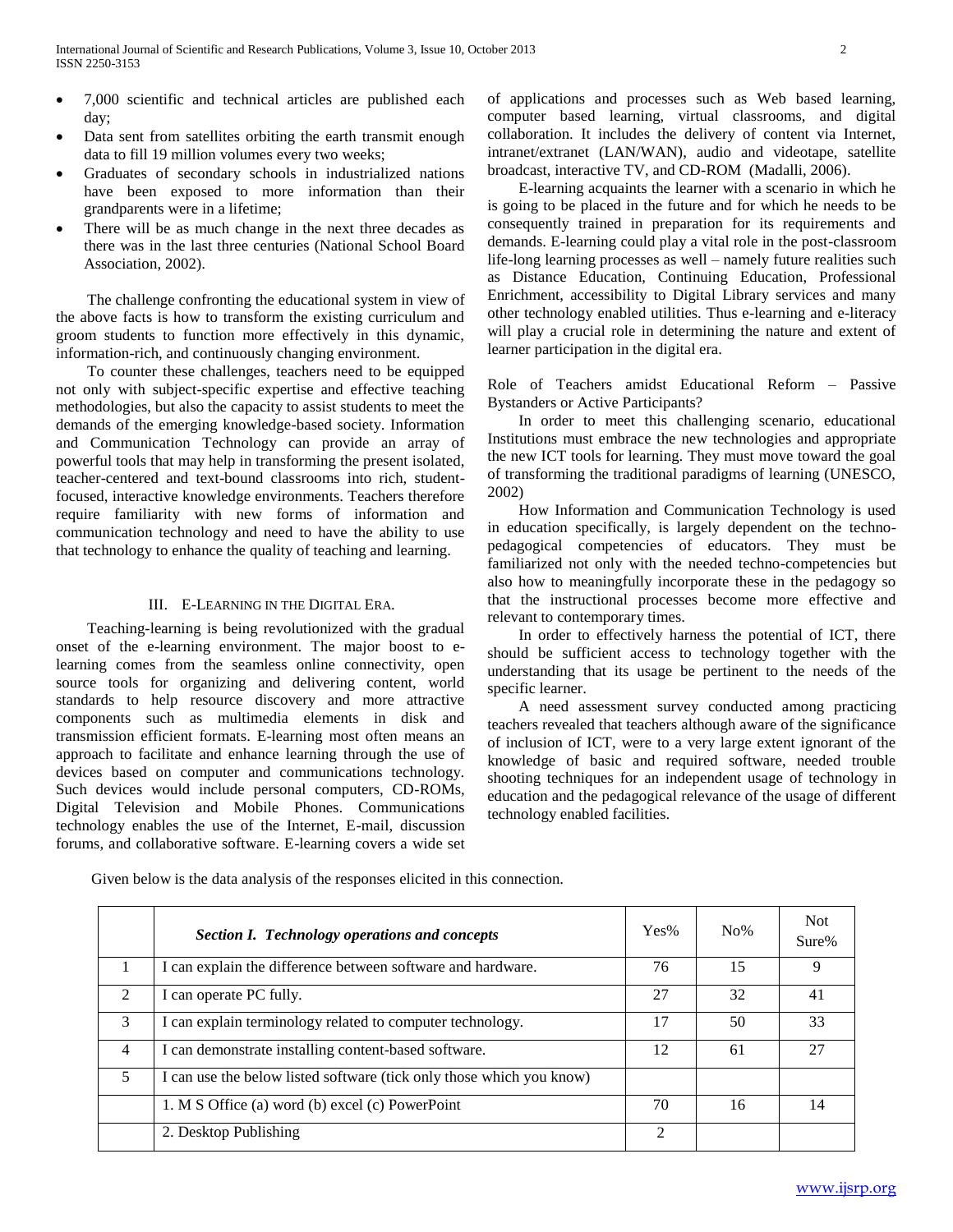- 7,000 scientific and technical articles are published each day;
- Data sent from satellites orbiting the earth transmit enough data to fill 19 million volumes every two weeks;
- Graduates of secondary schools in industrialized nations have been exposed to more information than their grandparents were in a lifetime;
- There will be as much change in the next three decades as there was in the last three centuries (National School Board Association, 2002).

 The challenge confronting the educational system in view of the above facts is how to transform the existing curriculum and groom students to function more effectively in this dynamic, information-rich, and continuously changing environment.

 To counter these challenges, teachers need to be equipped not only with subject-specific expertise and effective teaching methodologies, but also the capacity to assist students to meet the demands of the emerging knowledge-based society. Information and Communication Technology can provide an array of powerful tools that may help in transforming the present isolated, teacher-centered and text-bound classrooms into rich, studentfocused, interactive knowledge environments. Teachers therefore require familiarity with new forms of information and communication technology and need to have the ability to use that technology to enhance the quality of teaching and learning.

#### III. E-LEARNING IN THE DIGITAL ERA.

 Teaching-learning is being revolutionized with the gradual onset of the e-learning environment. The major boost to elearning comes from the seamless online connectivity, open source tools for organizing and delivering content, world standards to help resource discovery and more attractive components such as multimedia elements in disk and transmission efficient formats. E-learning most often means an approach to facilitate and enhance learning through the use of devices based on computer and communications technology. Such devices would include personal computers, CD-ROMs, Digital Television and Mobile Phones. Communications technology enables the use of the Internet, E-mail, discussion forums, and collaborative software. E-learning covers a wide set of applications and processes such as Web based learning, computer based learning, virtual classrooms, and digital collaboration. It includes the delivery of content via Internet, intranet/extranet (LAN/WAN), audio and videotape, satellite broadcast, interactive TV, and CD-ROM (Madalli, 2006).

 E-learning acquaints the learner with a scenario in which he is going to be placed in the future and for which he needs to be consequently trained in preparation for its requirements and demands. E-learning could play a vital role in the post-classroom life-long learning processes as well – namely future realities such as Distance Education, Continuing Education, Professional Enrichment, accessibility to Digital Library services and many other technology enabled utilities. Thus e-learning and e-literacy will play a crucial role in determining the nature and extent of learner participation in the digital era.

Role of Teachers amidst Educational Reform – Passive Bystanders or Active Participants?

 In order to meet this challenging scenario, educational Institutions must embrace the new technologies and appropriate the new ICT tools for learning. They must move toward the goal of transforming the traditional paradigms of learning (UNESCO, 2002)

 How Information and Communication Technology is used in education specifically, is largely dependent on the technopedagogical competencies of educators. They must be familiarized not only with the needed techno-competencies but also how to meaningfully incorporate these in the pedagogy so that the instructional processes become more effective and relevant to contemporary times.

 In order to effectively harness the potential of ICT, there should be sufficient access to technology together with the understanding that its usage be pertinent to the needs of the specific learner.

 A need assessment survey conducted among practicing teachers revealed that teachers although aware of the significance of inclusion of ICT, were to a very large extent ignorant of the knowledge of basic and required software, needed trouble shooting techniques for an independent usage of technology in education and the pedagogical relevance of the usage of different technology enabled facilities.

Given below is the data analysis of the responses elicited in this connection.

|                | Section I. Technology operations and concepts                        | Yes%           | $No\%$ | <b>Not</b><br>Sure% |
|----------------|----------------------------------------------------------------------|----------------|--------|---------------------|
|                | I can explain the difference between software and hardware.          | 76             | 15     | Q                   |
| $\mathfrak{D}$ | I can operate PC fully.                                              | 27             | 32     | 41                  |
| $\mathcal{F}$  | I can explain terminology related to computer technology.            | 17             | 50     | 33                  |
| 4              | I can demonstrate installing content-based software.                 | 12             | 61     | 27                  |
| 5              | I can use the below listed software (tick only those which you know) |                |        |                     |
|                | 1. M S Office (a) word (b) excel (c) PowerPoint                      | 70             | 16     | 14                  |
|                | 2. Desktop Publishing                                                | $\mathfrak{D}$ |        |                     |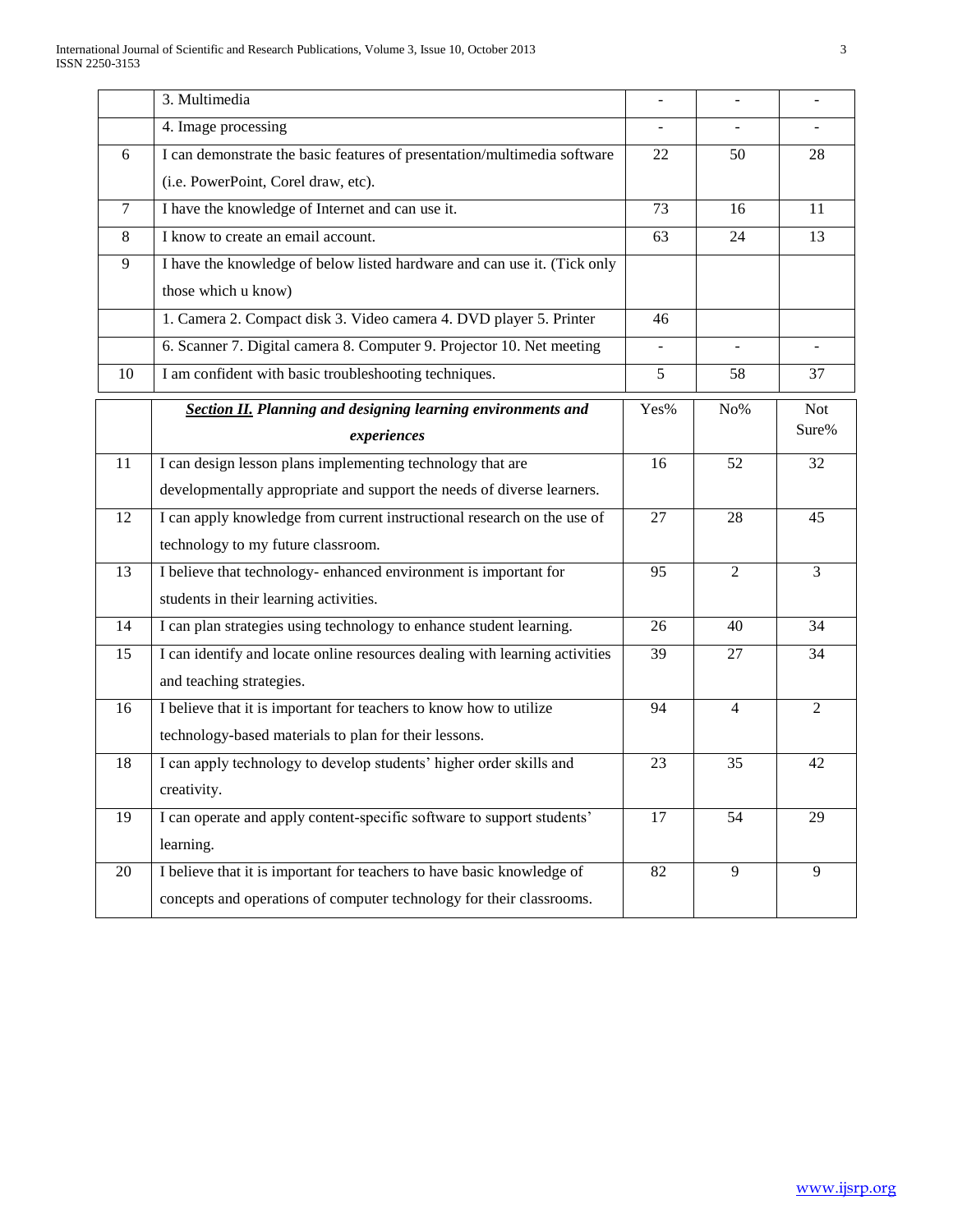|        | 3. Multimedia                                                               | $\overline{a}$ | $\blacksquare$ |                |
|--------|-----------------------------------------------------------------------------|----------------|----------------|----------------|
|        | 4. Image processing                                                         | ÷.             | $\mathbf{r}$   |                |
| 6      | I can demonstrate the basic features of presentation/multimedia software    | 22             | 50             | 28             |
|        | (i.e. PowerPoint, Corel draw, etc).                                         |                |                |                |
| $\tau$ | I have the knowledge of Internet and can use it.                            | 73             | 16             | 11             |
| 8      | I know to create an email account.                                          | 63             | 24             | 13             |
| 9      | I have the knowledge of below listed hardware and can use it. (Tick only    |                |                |                |
|        | those which u know)                                                         |                |                |                |
|        | 1. Camera 2. Compact disk 3. Video camera 4. DVD player 5. Printer          | 46             |                |                |
|        | 6. Scanner 7. Digital camera 8. Computer 9. Projector 10. Net meeting       | $\blacksquare$ | $\blacksquare$ |                |
| 10     | I am confident with basic troubleshooting techniques.                       | 5              | 58             | 37             |
|        | <b>Section II.</b> Planning and designing learning environments and         | Yes%           | No%            | <b>Not</b>     |
|        | experiences                                                                 |                |                | Sure%          |
| 11     | I can design lesson plans implementing technology that are                  | 16             | 52             | 32             |
|        | developmentally appropriate and support the needs of diverse learners.      |                |                |                |
| 12     | I can apply knowledge from current instructional research on the use of     | 27             | 28             | 45             |
|        | technology to my future classroom.                                          |                |                |                |
| 13     | I believe that technology- enhanced environment is important for            | 95             | $\overline{2}$ | 3              |
|        | students in their learning activities.                                      |                |                |                |
| 14     | I can plan strategies using technology to enhance student learning.         | 26             | 40             | 34             |
| 15     | I can identify and locate online resources dealing with learning activities | 39             | 27             | 34             |
|        | and teaching strategies.                                                    |                |                |                |
| 16     | I believe that it is important for teachers to know how to utilize          | 94             | $\overline{4}$ | $\overline{2}$ |
|        | technology-based materials to plan for their lessons.                       |                |                |                |
| 18     | I can apply technology to develop students' higher order skills and         | 23             | 35             | 42             |
|        | creativity.                                                                 |                |                |                |
| 19     | I can operate and apply content-specific software to support students'      | 17             | 54             | 29             |
|        | learning.                                                                   |                |                |                |
| 20     | I believe that it is important for teachers to have basic knowledge of      | 82             | 9              | 9              |
|        | concepts and operations of computer technology for their classrooms.        |                |                |                |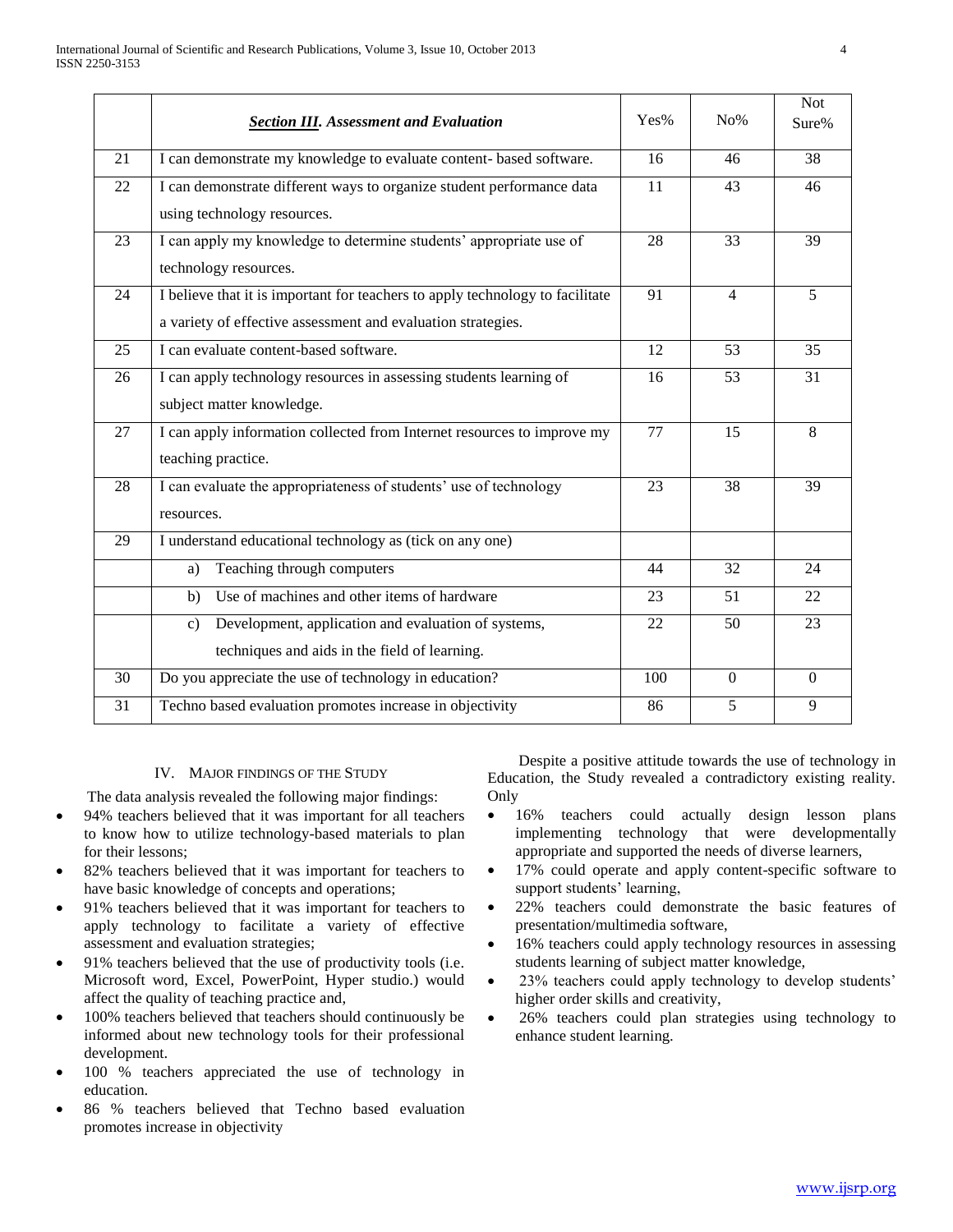|    | <b>Section III.</b> Assessment and Evaluation                                                                                                 | Yes% | $No\%$         | <b>Not</b><br>Sure% |
|----|-----------------------------------------------------------------------------------------------------------------------------------------------|------|----------------|---------------------|
| 21 | I can demonstrate my knowledge to evaluate content- based software.                                                                           | 16   | 46             | 38                  |
| 22 | I can demonstrate different ways to organize student performance data<br>using technology resources.                                          | 11   | 43             | 46                  |
| 23 | I can apply my knowledge to determine students' appropriate use of<br>technology resources.                                                   | 28   | 33             | 39                  |
| 24 | I believe that it is important for teachers to apply technology to facilitate<br>a variety of effective assessment and evaluation strategies. | 91   | $\overline{4}$ | 5                   |
| 25 | I can evaluate content-based software.                                                                                                        | 12   | 53             | 35                  |
| 26 | I can apply technology resources in assessing students learning of<br>subject matter knowledge.                                               | 16   | 53             | 31                  |
| 27 | I can apply information collected from Internet resources to improve my<br>teaching practice.                                                 | 77   | 15             | 8                   |
| 28 | I can evaluate the appropriateness of students' use of technology<br>resources.                                                               | 23   | 38             | 39                  |
| 29 | I understand educational technology as (tick on any one)                                                                                      |      |                |                     |
|    | Teaching through computers<br>a)                                                                                                              | 44   | 32             | 24                  |
|    | Use of machines and other items of hardware<br>b)                                                                                             | 23   | 51             | 22                  |
|    | Development, application and evaluation of systems,<br>$\mathbf{c})$<br>techniques and aids in the field of learning.                         | 22   | 50             | 23                  |
| 30 | Do you appreciate the use of technology in education?                                                                                         | 100  | $\Omega$       | $\theta$            |
| 31 | Techno based evaluation promotes increase in objectivity                                                                                      | 86   | 5              | 9                   |

#### IV. MAJOR FINDINGS OF THE STUDY

The data analysis revealed the following major findings:

- 94% teachers believed that it was important for all teachers to know how to utilize technology-based materials to plan for their lessons;
- 82% teachers believed that it was important for teachers to have basic knowledge of concepts and operations;
- 91% teachers believed that it was important for teachers to apply technology to facilitate a variety of effective assessment and evaluation strategies;
- 91% teachers believed that the use of productivity tools (i.e. Microsoft word, Excel, PowerPoint, Hyper studio.) would affect the quality of teaching practice and,
- 100% teachers believed that teachers should continuously be informed about new technology tools for their professional development.
- 100 % teachers appreciated the use of technology in education.
- 86 % teachers believed that Techno based evaluation promotes increase in objectivity

 Despite a positive attitude towards the use of technology in Education, the Study revealed a contradictory existing reality. Only

- 16% teachers could actually design lesson plans implementing technology that were developmentally appropriate and supported the needs of diverse learners,
- 17% could operate and apply content-specific software to support students' learning,
- 22% teachers could demonstrate the basic features of presentation/multimedia software,
- 16% teachers could apply technology resources in assessing students learning of subject matter knowledge,
- 23% teachers could apply technology to develop students' higher order skills and creativity,
- 26% teachers could plan strategies using technology to enhance student learning.